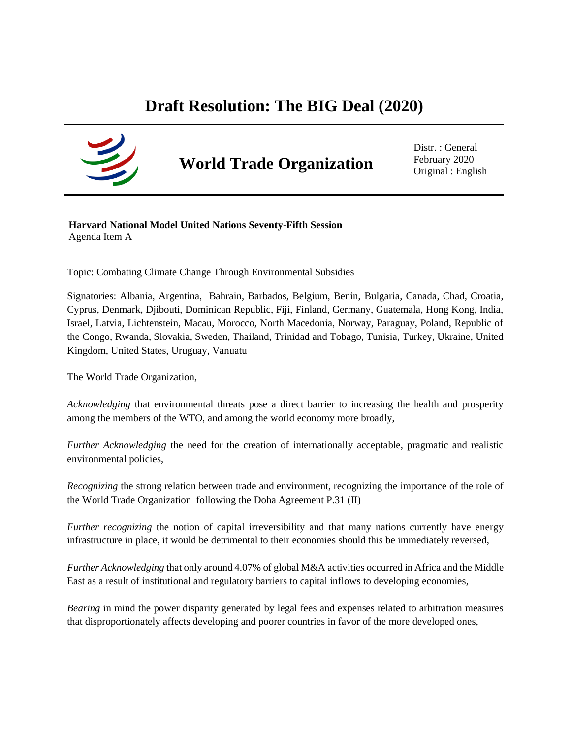## **Draft Resolution: The BIG Deal (2020)**



# **World Trade Organization**

Distr. : General February 2020 Original : English

**Harvard National Model United Nations Seventy-Fifth Session** Agenda Item A

Topic: Combating Climate Change Through Environmental Subsidies

Signatories: Albania, Argentina, Bahrain, Barbados, Belgium, Benin, Bulgaria, Canada, Chad, Croatia, Cyprus, Denmark, Djibouti, Dominican Republic, Fiji, Finland, Germany, Guatemala, Hong Kong, India, Israel, Latvia, Lichtenstein, Macau, Morocco, North Macedonia, Norway, Paraguay, Poland, Republic of the Congo, Rwanda, Slovakia, Sweden, Thailand, Trinidad and Tobago, Tunisia, Turkey, Ukraine, United Kingdom, United States, Uruguay, Vanuatu

The World Trade Organization,

*Acknowledging* that environmental threats pose a direct barrier to increasing the health and prosperity among the members of the WTO, and among the world economy more broadly,

*Further Acknowledging* the need for the creation of internationally acceptable, pragmatic and realistic environmental policies,

*Recognizing* the strong relation between trade and environment, recognizing the importance of the role of the World Trade Organization following the Doha Agreement P.31 (II)

*Further recognizing* the notion of capital irreversibility and that many nations currently have energy infrastructure in place, it would be detrimental to their economies should this be immediately reversed,

*Further Acknowledging* that only around 4.07% of global M&A activities occurred in Africa and the Middle East as a result of institutional and regulatory barriers to capital inflows to developing economies,

*Bearing* in mind the power disparity generated by legal fees and expenses related to arbitration measures that disproportionately affects developing and poorer countries in favor of the more developed ones,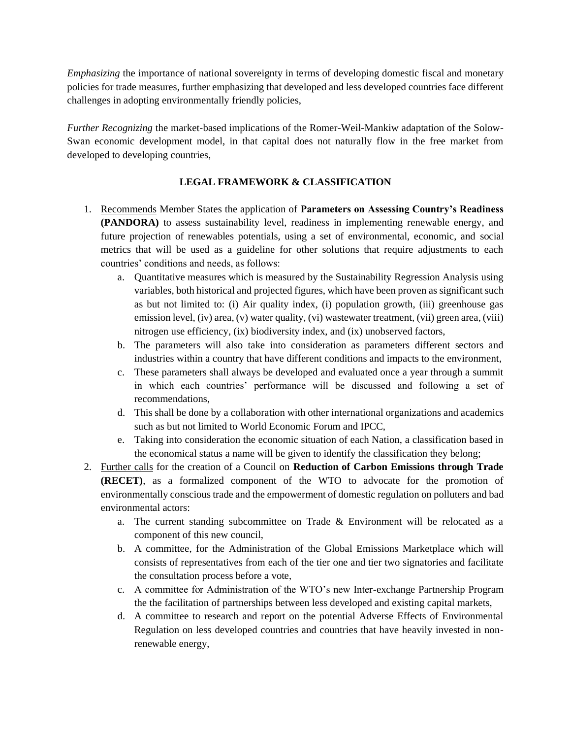*Emphasizing* the importance of national sovereignty in terms of developing domestic fiscal and monetary policies for trade measures, further emphasizing that developed and less developed countries face different challenges in adopting environmentally friendly policies,

*Further Recognizing* the market-based implications of the Romer-Weil-Mankiw adaptation of the Solow-Swan economic development model, in that capital does not naturally flow in the free market from developed to developing countries,

#### **LEGAL FRAMEWORK & CLASSIFICATION**

- 1. Recommends Member States the application of **Parameters on Assessing Country's Readiness (PANDORA)** to assess sustainability level, readiness in implementing renewable energy, and future projection of renewables potentials, using a set of environmental, economic, and social metrics that will be used as a guideline for other solutions that require adjustments to each countries' conditions and needs, as follows:
	- a. Quantitative measures which is measured by the Sustainability Regression Analysis using variables, both historical and projected figures, which have been proven as significant such as but not limited to: (i) Air quality index, (i) population growth, (iii) greenhouse gas emission level, (iv) area, (v) water quality, (vi) wastewater treatment, (vii) green area, (viii) nitrogen use efficiency, (ix) biodiversity index, and (ix) unobserved factors,
	- b. The parameters will also take into consideration as parameters different sectors and industries within a country that have different conditions and impacts to the environment,
	- c. These parameters shall always be developed and evaluated once a year through a summit in which each countries' performance will be discussed and following a set of recommendations,
	- d. This shall be done by a collaboration with other international organizations and academics such as but not limited to World Economic Forum and IPCC,
	- e. Taking into consideration the economic situation of each Nation, a classification based in the economical status a name will be given to identify the classification they belong;
- 2. Further calls for the creation of a Council on **Reduction of Carbon Emissions through Trade (RECET)**, as a formalized component of the WTO to advocate for the promotion of environmentally conscious trade and the empowerment of domestic regulation on polluters and bad environmental actors:
	- a. The current standing subcommittee on Trade & Environment will be relocated as a component of this new council,
	- b. A committee, for the Administration of the Global Emissions Marketplace which will consists of representatives from each of the tier one and tier two signatories and facilitate the consultation process before a vote,
	- c. A committee for Administration of the WTO's new Inter-exchange Partnership Program the the facilitation of partnerships between less developed and existing capital markets,
	- d. A committee to research and report on the potential Adverse Effects of Environmental Regulation on less developed countries and countries that have heavily invested in nonrenewable energy,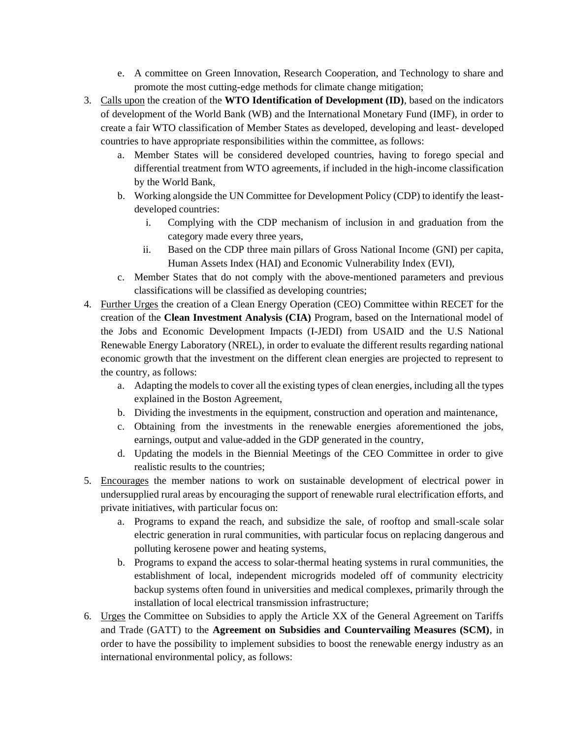- e. A committee on Green Innovation, Research Cooperation, and Technology to share and promote the most cutting-edge methods for climate change mitigation;
- 3. Calls upon the creation of the **WTO Identification of Development (ID)**, based on the indicators of development of the World Bank (WB) and the International Monetary Fund (IMF), in order to create a fair WTO classification of Member States as developed, developing and least- developed countries to have appropriate responsibilities within the committee, as follows:
	- a. Member States will be considered developed countries, having to forego special and differential treatment from WTO agreements, if included in the high-income classification by the World Bank,
	- b. Working alongside the UN Committee for Development Policy (CDP) to identify the leastdeveloped countries:
		- i. Complying with the CDP mechanism of inclusion in and graduation from the category made every three years,
		- ii. Based on the CDP three main pillars of Gross National Income (GNI) per capita, Human Assets Index (HAI) and Economic Vulnerability Index (EVI),
	- c. Member States that do not comply with the above-mentioned parameters and previous classifications will be classified as developing countries;
- 4. Further Urges the creation of a Clean Energy Operation (CEO) Committee within RECET for the creation of the **Clean Investment Analysis (CIA)** Program, based on the International model of the Jobs and Economic Development Impacts (I-JEDI) from USAID and the U.S National Renewable Energy Laboratory (NREL), in order to evaluate the different results regarding national economic growth that the investment on the different clean energies are projected to represent to the country, as follows:
	- a. Adapting the models to cover all the existing types of clean energies, including all the types explained in the Boston Agreement,
	- b. Dividing the investments in the equipment, construction and operation and maintenance,
	- c. Obtaining from the investments in the renewable energies aforementioned the jobs, earnings, output and value-added in the GDP generated in the country,
	- d. Updating the models in the Biennial Meetings of the CEO Committee in order to give realistic results to the countries;
- 5. Encourages the member nations to work on sustainable development of electrical power in undersupplied rural areas by encouraging the support of renewable rural electrification efforts, and private initiatives, with particular focus on:
	- a. Programs to expand the reach, and subsidize the sale, of rooftop and small-scale solar electric generation in rural communities, with particular focus on replacing dangerous and polluting kerosene power and heating systems,
	- b. Programs to expand the access to solar-thermal heating systems in rural communities, the establishment of local, independent microgrids modeled off of community electricity backup systems often found in universities and medical complexes, primarily through the installation of local electrical transmission infrastructure;
- 6. Urges the Committee on Subsidies to apply the Article XX of the General Agreement on Tariffs and Trade (GATT) to the **Agreement on Subsidies and Countervailing Measures (SCM)**, in order to have the possibility to implement subsidies to boost the renewable energy industry as an international environmental policy, as follows: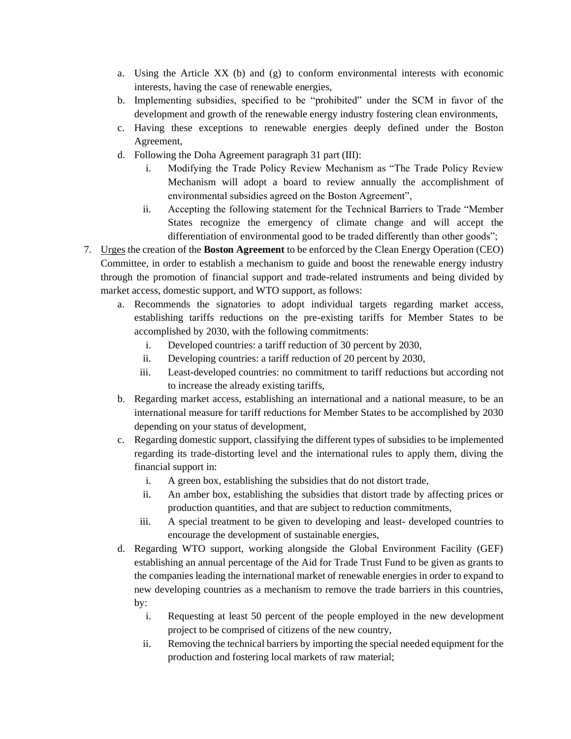- a. Using the Article XX (b) and (g) to conform environmental interests with economic interests, having the case of renewable energies,
- b. Implementing subsidies, specified to be "prohibited" under the SCM in favor of the development and growth of the renewable energy industry fostering clean environments,
- c. Having these exceptions to renewable energies deeply defined under the Boston Agreement,
- d. Following the Doha Agreement paragraph 31 part (III):
	- i. Modifying the Trade Policy Review Mechanism as "The Trade Policy Review Mechanism will adopt a board to review annually the accomplishment of environmental subsidies agreed on the Boston Agreement",
	- ii. Accepting the following statement for the Technical Barriers to Trade "Member States recognize the emergency of climate change and will accept the differentiation of environmental good to be traded differently than other goods";
- 7. Urges the creation of the **Boston Agreement** to be enforced by the Clean Energy Operation (CEO) Committee, in order to establish a mechanism to guide and boost the renewable energy industry through the promotion of financial support and trade-related instruments and being divided by market access, domestic support, and WTO support, as follows:
	- a. Recommends the signatories to adopt individual targets regarding market access, establishing tariffs reductions on the pre-existing tariffs for Member States to be accomplished by 2030, with the following commitments:
		- i. Developed countries: a tariff reduction of 30 percent by 2030,
		- ii. Developing countries: a tariff reduction of 20 percent by 2030,
		- iii. Least-developed countries: no commitment to tariff reductions but according not to increase the already existing tariffs,
	- b. Regarding market access, establishing an international and a national measure, to be an international measure for tariff reductions for Member States to be accomplished by 2030 depending on your status of development,
	- c. Regarding domestic support, classifying the different types of subsidies to be implemented regarding its trade-distorting level and the international rules to apply them, diving the financial support in:
		- i. A green box, establishing the subsidies that do not distort trade,
		- ii. An amber box, establishing the subsidies that distort trade by affecting prices or production quantities, and that are subject to reduction commitments,
		- iii. A special treatment to be given to developing and least- developed countries to encourage the development of sustainable energies,
	- d. Regarding WTO support, working alongside the Global Environment Facility (GEF) establishing an annual percentage of the Aid for Trade Trust Fund to be given as grants to the companies leading the international market of renewable energies in order to expand to new developing countries as a mechanism to remove the trade barriers in this countries, by:
		- i. Requesting at least 50 percent of the people employed in the new development project to be comprised of citizens of the new country,
		- ii. Removing the technical barriers by importing the special needed equipment for the production and fostering local markets of raw material;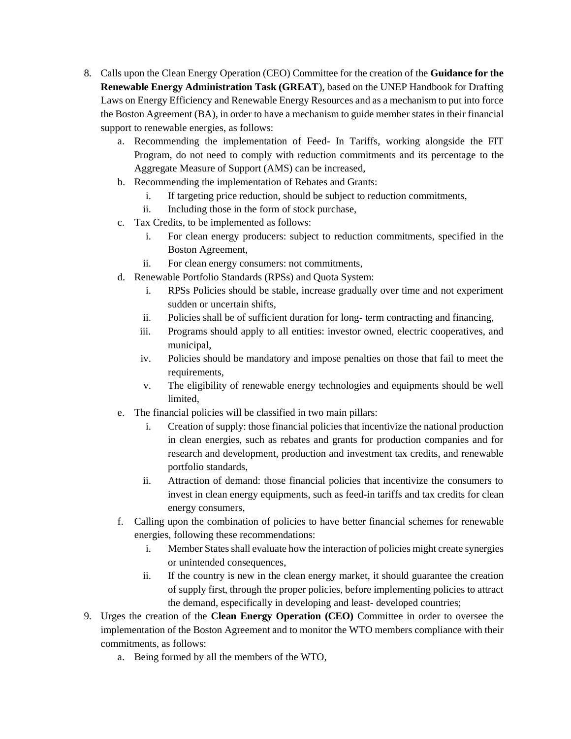- 8. Calls upon the Clean Energy Operation (CEO) Committee for the creation of the **Guidance for the Renewable Energy Administration Task (GREAT**), based on the UNEP Handbook for Drafting Laws on Energy Efficiency and Renewable Energy Resources and as a mechanism to put into force the Boston Agreement (BA), in order to have a mechanism to guide member states in their financial support to renewable energies, as follows:
	- a. Recommending the implementation of Feed- In Tariffs, working alongside the FIT Program, do not need to comply with reduction commitments and its percentage to the Aggregate Measure of Support (AMS) can be increased,
	- b. Recommending the implementation of Rebates and Grants:
		- i. If targeting price reduction, should be subject to reduction commitments,
		- ii. Including those in the form of stock purchase,
	- c. Tax Credits, to be implemented as follows:
		- i. For clean energy producers: subject to reduction commitments, specified in the Boston Agreement,
		- ii. For clean energy consumers: not commitments,
	- d. Renewable Portfolio Standards (RPSs) and Quota System:
		- i. RPSs Policies should be stable, increase gradually over time and not experiment sudden or uncertain shifts,
		- ii. Policies shall be of sufficient duration for long- term contracting and financing,
		- iii. Programs should apply to all entities: investor owned, electric cooperatives, and municipal,
		- iv. Policies should be mandatory and impose penalties on those that fail to meet the requirements,
		- v. The eligibility of renewable energy technologies and equipments should be well limited,
	- e. The financial policies will be classified in two main pillars:
		- i. Creation of supply: those financial policies that incentivize the national production in clean energies, such as rebates and grants for production companies and for research and development, production and investment tax credits, and renewable portfolio standards,
		- ii. Attraction of demand: those financial policies that incentivize the consumers to invest in clean energy equipments, such as feed-in tariffs and tax credits for clean energy consumers,
	- f. Calling upon the combination of policies to have better financial schemes for renewable energies, following these recommendations:
		- i. Member States shall evaluate how the interaction of policies might create synergies or unintended consequences,
		- ii. If the country is new in the clean energy market, it should guarantee the creation of supply first, through the proper policies, before implementing policies to attract the demand, especifically in developing and least- developed countries;
- 9. Urges the creation of the **Clean Energy Operation (CEO)** Committee in order to oversee the implementation of the Boston Agreement and to monitor the WTO members compliance with their commitments, as follows:
	- a. Being formed by all the members of the WTO,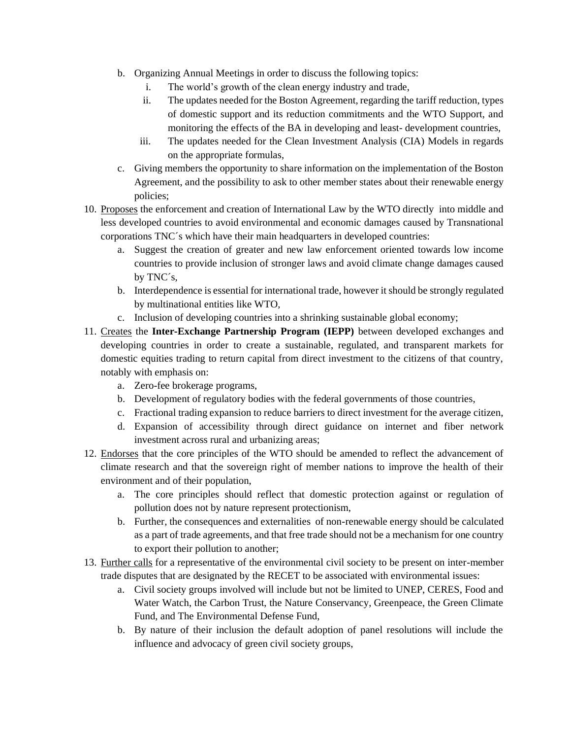- b. Organizing Annual Meetings in order to discuss the following topics:
	- i. The world's growth of the clean energy industry and trade,
	- ii. The updates needed for the Boston Agreement, regarding the tariff reduction, types of domestic support and its reduction commitments and the WTO Support, and monitoring the effects of the BA in developing and least- development countries,
	- iii. The updates needed for the Clean Investment Analysis (CIA) Models in regards on the appropriate formulas,
- c. Giving members the opportunity to share information on the implementation of the Boston Agreement, and the possibility to ask to other member states about their renewable energy policies;
- 10. Proposes the enforcement and creation of International Law by the WTO directly into middle and less developed countries to avoid environmental and economic damages caused by Transnational corporations TNC´s which have their main headquarters in developed countries:
	- a. Suggest the creation of greater and new law enforcement oriented towards low income countries to provide inclusion of stronger laws and avoid climate change damages caused by TNC´s,
	- b. Interdependence is essential for international trade, however it should be strongly regulated by multinational entities like WTO,
	- c. Inclusion of developing countries into a shrinking sustainable global economy;
- 11. Creates the **Inter-Exchange Partnership Program (IEPP)** between developed exchanges and developing countries in order to create a sustainable, regulated, and transparent markets for domestic equities trading to return capital from direct investment to the citizens of that country, notably with emphasis on:
	- a. Zero-fee brokerage programs,
	- b. Development of regulatory bodies with the federal governments of those countries,
	- c. Fractional trading expansion to reduce barriers to direct investment for the average citizen,
	- d. Expansion of accessibility through direct guidance on internet and fiber network investment across rural and urbanizing areas;
- 12. Endorses that the core principles of the WTO should be amended to reflect the advancement of climate research and that the sovereign right of member nations to improve the health of their environment and of their population,
	- a. The core principles should reflect that domestic protection against or regulation of pollution does not by nature represent protectionism,
	- b. Further, the consequences and externalities of non-renewable energy should be calculated as a part of trade agreements, and that free trade should not be a mechanism for one country to export their pollution to another;
- 13. Further calls for a representative of the environmental civil society to be present on inter-member trade disputes that are designated by the RECET to be associated with environmental issues:
	- a. Civil society groups involved will include but not be limited to UNEP, CERES, Food and Water Watch, the Carbon Trust, the Nature Conservancy, Greenpeace, the Green Climate Fund, and The Environmental Defense Fund,
	- b. By nature of their inclusion the default adoption of panel resolutions will include the influence and advocacy of green civil society groups,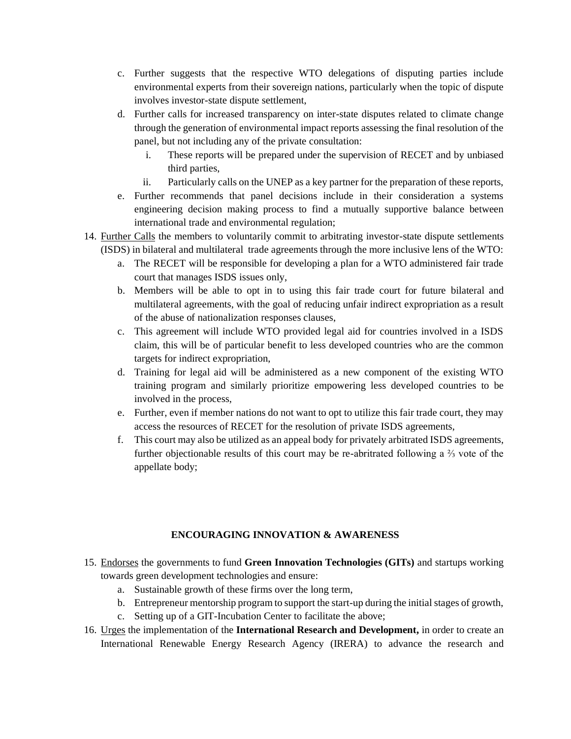- c. Further suggests that the respective WTO delegations of disputing parties include environmental experts from their sovereign nations, particularly when the topic of dispute involves investor-state dispute settlement,
- d. Further calls for increased transparency on inter-state disputes related to climate change through the generation of environmental impact reports assessing the final resolution of the panel, but not including any of the private consultation:
	- i. These reports will be prepared under the supervision of RECET and by unbiased third parties,
	- ii. Particularly calls on the UNEP as a key partner for the preparation of these reports,
- e. Further recommends that panel decisions include in their consideration a systems engineering decision making process to find a mutually supportive balance between international trade and environmental regulation;
- 14. Further Calls the members to voluntarily commit to arbitrating investor-state dispute settlements (ISDS) in bilateral and multilateral trade agreements through the more inclusive lens of the WTO:
	- a. The RECET will be responsible for developing a plan for a WTO administered fair trade court that manages ISDS issues only,
	- b. Members will be able to opt in to using this fair trade court for future bilateral and multilateral agreements, with the goal of reducing unfair indirect expropriation as a result of the abuse of nationalization responses clauses,
	- c. This agreement will include WTO provided legal aid for countries involved in a ISDS claim, this will be of particular benefit to less developed countries who are the common targets for indirect expropriation,
	- d. Training for legal aid will be administered as a new component of the existing WTO training program and similarly prioritize empowering less developed countries to be involved in the process,
	- e. Further, even if member nations do not want to opt to utilize this fair trade court, they may access the resources of RECET for the resolution of private ISDS agreements,
	- f. This court may also be utilized as an appeal body for privately arbitrated ISDS agreements, further objectionable results of this court may be re-abritrated following a ⅔ vote of the appellate body;

#### **ENCOURAGING INNOVATION & AWARENESS**

- 15. Endorses the governments to fund **Green Innovation Technologies (GITs)** and startups working towards green development technologies and ensure:
	- a. Sustainable growth of these firms over the long term,
	- b. Entrepreneur mentorship program to support the start-up during the initial stages of growth,
	- c. Setting up of a GIT-Incubation Center to facilitate the above;
- 16. Urges the implementation of the **International Research and Development,** in order to create an International Renewable Energy Research Agency (IRERA) to advance the research and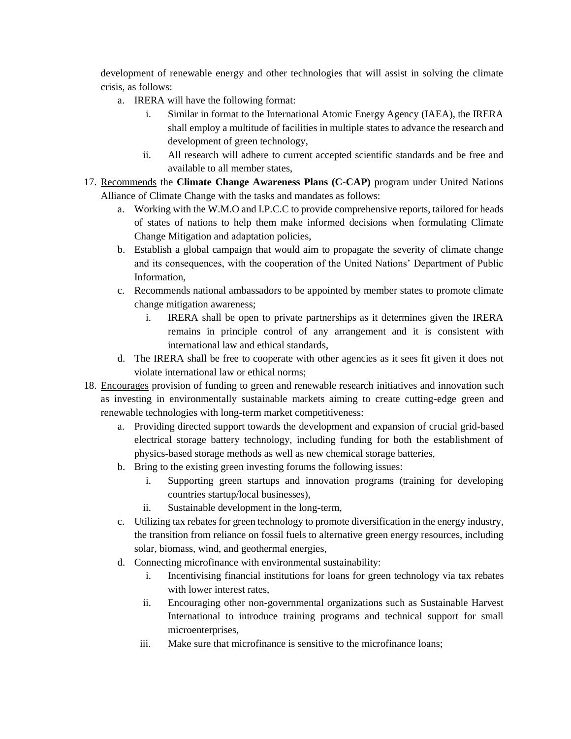development of renewable energy and other technologies that will assist in solving the climate crisis, as follows:

- a. IRERA will have the following format:
	- i. Similar in format to the International Atomic Energy Agency (IAEA), the IRERA shall employ a multitude of facilities in multiple states to advance the research and development of green technology,
	- ii. All research will adhere to current accepted scientific standards and be free and available to all member states,
- 17. Recommends the **Climate Change Awareness Plans (C-CAP)** program under United Nations Alliance of Climate Change with the tasks and mandates as follows:
	- a. Working with the W.M.O and I.P.C.C to provide comprehensive reports, tailored for heads of states of nations to help them make informed decisions when formulating Climate Change Mitigation and adaptation policies,
	- b. Establish a global campaign that would aim to propagate the severity of climate change and its consequences, with the cooperation of the United Nations' Department of Public Information,
	- c. Recommends national ambassadors to be appointed by member states to promote climate change mitigation awareness;
		- i. IRERA shall be open to private partnerships as it determines given the IRERA remains in principle control of any arrangement and it is consistent with international law and ethical standards,
	- d. The IRERA shall be free to cooperate with other agencies as it sees fit given it does not violate international law or ethical norms;
- 18. Encourages provision of funding to green and renewable research initiatives and innovation such as investing in environmentally sustainable markets aiming to create cutting-edge green and renewable technologies with long-term market competitiveness:
	- a. Providing directed support towards the development and expansion of crucial grid-based electrical storage battery technology, including funding for both the establishment of physics-based storage methods as well as new chemical storage batteries,
	- b. Bring to the existing green investing forums the following issues:
		- i. Supporting green startups and innovation programs (training for developing countries startup/local businesses),
		- ii. Sustainable development in the long-term,
	- c. Utilizing tax rebates for green technology to promote diversification in the energy industry, the transition from reliance on fossil fuels to alternative green energy resources, including solar, biomass, wind, and geothermal energies,
	- d. Connecting microfinance with environmental sustainability:
		- i. Incentivising financial institutions for loans for green technology via tax rebates with lower interest rates,
		- ii. Encouraging other non-governmental organizations such as Sustainable Harvest International to introduce training programs and technical support for small microenterprises,
		- iii. Make sure that microfinance is sensitive to the microfinance loans;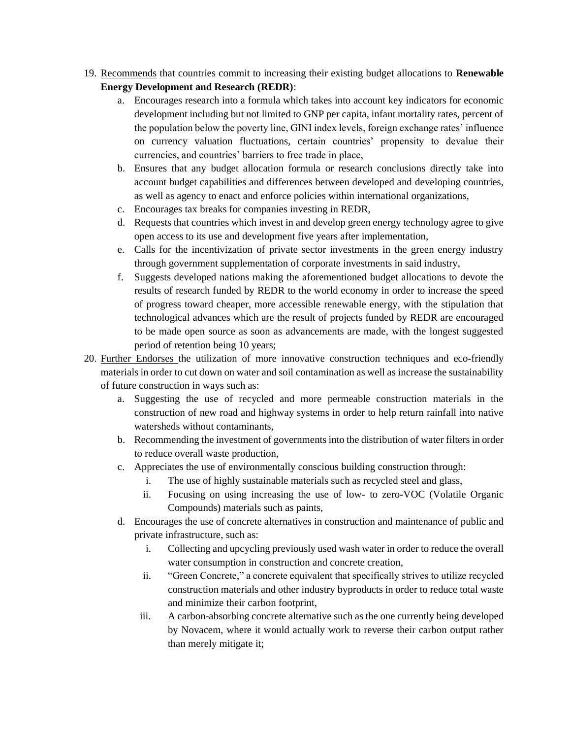- 19. Recommends that countries commit to increasing their existing budget allocations to **Renewable Energy Development and Research (REDR)**:
	- a. Encourages research into a formula which takes into account key indicators for economic development including but not limited to GNP per capita, infant mortality rates, percent of the population below the poverty line, GINI index levels, foreign exchange rates' influence on currency valuation fluctuations, certain countries' propensity to devalue their currencies, and countries' barriers to free trade in place,
	- b. Ensures that any budget allocation formula or research conclusions directly take into account budget capabilities and differences between developed and developing countries, as well as agency to enact and enforce policies within international organizations,
	- c. Encourages tax breaks for companies investing in REDR,
	- d. Requests that countries which invest in and develop green energy technology agree to give open access to its use and development five years after implementation,
	- e. Calls for the incentivization of private sector investments in the green energy industry through government supplementation of corporate investments in said industry,
	- f. Suggests developed nations making the aforementioned budget allocations to devote the results of research funded by REDR to the world economy in order to increase the speed of progress toward cheaper, more accessible renewable energy, with the stipulation that technological advances which are the result of projects funded by REDR are encouraged to be made open source as soon as advancements are made, with the longest suggested period of retention being 10 years;
- 20. Further Endorses the utilization of more innovative construction techniques and eco-friendly materials in order to cut down on water and soil contamination as well as increase the sustainability of future construction in ways such as:
	- a. Suggesting the use of recycled and more permeable construction materials in the construction of new road and highway systems in order to help return rainfall into native watersheds without contaminants,
	- b. Recommending the investment of governments into the distribution of water filters in order to reduce overall waste production,
	- c. Appreciates the use of environmentally conscious building construction through:
		- i. The use of highly sustainable materials such as recycled steel and glass,
		- ii. Focusing on using increasing the use of low- to zero-VOC (Volatile Organic Compounds) materials such as paints,
	- d. Encourages the use of concrete alternatives in construction and maintenance of public and private infrastructure, such as:
		- i. Collecting and upcycling previously used wash water in order to reduce the overall water consumption in construction and concrete creation,
		- ii. "Green Concrete," a concrete equivalent that specifically strives to utilize recycled construction materials and other industry byproducts in order to reduce total waste and minimize their carbon footprint,
		- iii. A carbon-absorbing concrete alternative such as the one currently being developed by Novacem, where it would actually work to reverse their carbon output rather than merely mitigate it;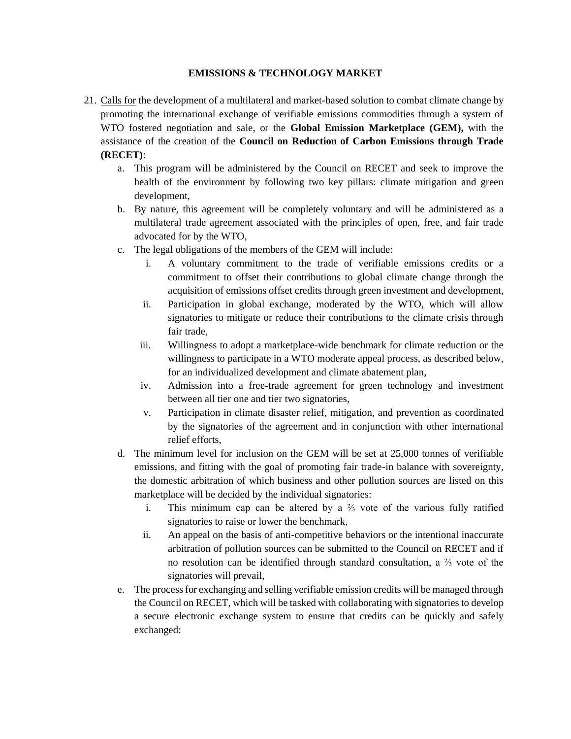#### **EMISSIONS & TECHNOLOGY MARKET**

- 21. Calls for the development of a multilateral and market-based solution to combat climate change by promoting the international exchange of verifiable emissions commodities through a system of WTO fostered negotiation and sale, or the **Global Emission Marketplace (GEM),** with the assistance of the creation of the **Council on Reduction of Carbon Emissions through Trade (RECET)**:
	- a. This program will be administered by the Council on RECET and seek to improve the health of the environment by following two key pillars: climate mitigation and green development,
	- b. By nature, this agreement will be completely voluntary and will be administered as a multilateral trade agreement associated with the principles of open, free, and fair trade advocated for by the WTO,
	- c. The legal obligations of the members of the GEM will include:
		- i. A voluntary commitment to the trade of verifiable emissions credits or a commitment to offset their contributions to global climate change through the acquisition of emissions offset credits through green investment and development,
		- ii. Participation in global exchange, moderated by the WTO, which will allow signatories to mitigate or reduce their contributions to the climate crisis through fair trade,
		- iii. Willingness to adopt a marketplace-wide benchmark for climate reduction or the willingness to participate in a WTO moderate appeal process, as described below, for an individualized development and climate abatement plan,
		- iv. Admission into a free-trade agreement for green technology and investment between all tier one and tier two signatories,
		- v. Participation in climate disaster relief, mitigation, and prevention as coordinated by the signatories of the agreement and in conjunction with other international relief efforts,
	- d. The minimum level for inclusion on the GEM will be set at 25,000 tonnes of verifiable emissions, and fitting with the goal of promoting fair trade-in balance with sovereignty, the domestic arbitration of which business and other pollution sources are listed on this marketplace will be decided by the individual signatories:
		- i. This minimum cap can be altered by a ⅔ vote of the various fully ratified signatories to raise or lower the benchmark,
		- ii. An appeal on the basis of anti-competitive behaviors or the intentional inaccurate arbitration of pollution sources can be submitted to the Council on RECET and if no resolution can be identified through standard consultation, a ⅔ vote of the signatories will prevail,
	- e. The process for exchanging and selling verifiable emission credits will be managed through the Council on RECET, which will be tasked with collaborating with signatories to develop a secure electronic exchange system to ensure that credits can be quickly and safely exchanged: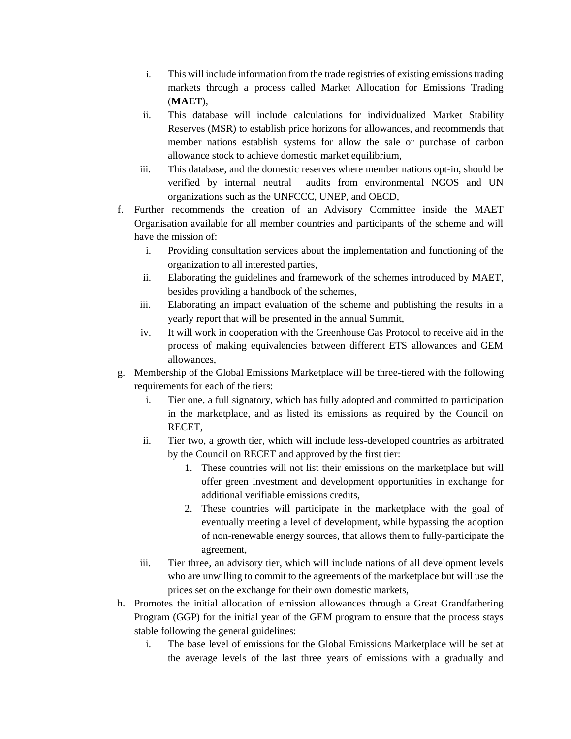- i. This will include information from the trade registries of existing emissions trading markets through a process called Market Allocation for Emissions Trading (**MAET**),
- ii. This database will include calculations for individualized Market Stability Reserves (MSR) to establish price horizons for allowances, and recommends that member nations establish systems for allow the sale or purchase of carbon allowance stock to achieve domestic market equilibrium,
- iii. This database, and the domestic reserves where member nations opt-in, should be verified by internal neutral audits from environmental NGOS and UN organizations such as the UNFCCC, UNEP, and OECD,
- f. Further recommends the creation of an Advisory Committee inside the MAET Organisation available for all member countries and participants of the scheme and will have the mission of:
	- i. Providing consultation services about the implementation and functioning of the organization to all interested parties,
	- ii. Elaborating the guidelines and framework of the schemes introduced by MAET, besides providing a handbook of the schemes,
	- iii. Elaborating an impact evaluation of the scheme and publishing the results in a yearly report that will be presented in the annual Summit,
	- iv. It will work in cooperation with the Greenhouse Gas Protocol to receive aid in the process of making equivalencies between different ETS allowances and GEM allowances,
- g. Membership of the Global Emissions Marketplace will be three-tiered with the following requirements for each of the tiers:
	- i. Tier one, a full signatory, which has fully adopted and committed to participation in the marketplace, and as listed its emissions as required by the Council on RECET,
	- ii. Tier two, a growth tier, which will include less-developed countries as arbitrated by the Council on RECET and approved by the first tier:
		- 1. These countries will not list their emissions on the marketplace but will offer green investment and development opportunities in exchange for additional verifiable emissions credits,
		- 2. These countries will participate in the marketplace with the goal of eventually meeting a level of development, while bypassing the adoption of non-renewable energy sources, that allows them to fully-participate the agreement,
	- iii. Tier three, an advisory tier, which will include nations of all development levels who are unwilling to commit to the agreements of the marketplace but will use the prices set on the exchange for their own domestic markets,
- h. Promotes the initial allocation of emission allowances through a Great Grandfathering Program (GGP) for the initial year of the GEM program to ensure that the process stays stable following the general guidelines:
	- i. The base level of emissions for the Global Emissions Marketplace will be set at the average levels of the last three years of emissions with a gradually and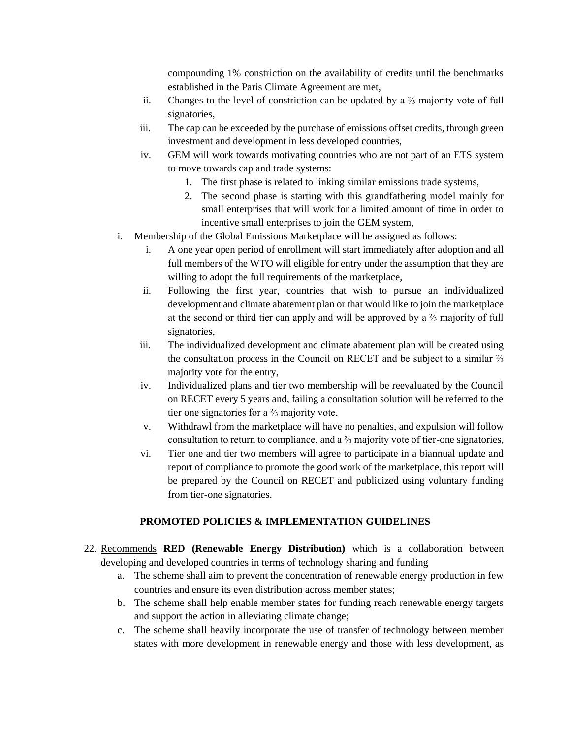compounding 1% constriction on the availability of credits until the benchmarks established in the Paris Climate Agreement are met,

- ii. Changes to the level of constriction can be updated by a ⅔ majority vote of full signatories,
- iii. The cap can be exceeded by the purchase of emissions offset credits, through green investment and development in less developed countries,
- iv. GEM will work towards motivating countries who are not part of an ETS system to move towards cap and trade systems:
	- 1. The first phase is related to linking similar emissions trade systems,
	- 2. The second phase is starting with this grandfathering model mainly for small enterprises that will work for a limited amount of time in order to incentive small enterprises to join the GEM system,
- i. Membership of the Global Emissions Marketplace will be assigned as follows:
	- i. A one year open period of enrollment will start immediately after adoption and all full members of the WTO will eligible for entry under the assumption that they are willing to adopt the full requirements of the marketplace,
	- ii. Following the first year, countries that wish to pursue an individualized development and climate abatement plan or that would like to join the marketplace at the second or third tier can apply and will be approved by a ⅔ majority of full signatories,
	- iii. The individualized development and climate abatement plan will be created using the consultation process in the Council on RECET and be subject to a similar ⅔ majority vote for the entry,
	- iv. Individualized plans and tier two membership will be reevaluated by the Council on RECET every 5 years and, failing a consultation solution will be referred to the tier one signatories for a ⅔ majority vote,
	- v. Withdrawl from the marketplace will have no penalties, and expulsion will follow consultation to return to compliance, and a ⅔ majority vote of tier-one signatories,
	- vi. Tier one and tier two members will agree to participate in a biannual update and report of compliance to promote the good work of the marketplace, this report will be prepared by the Council on RECET and publicized using voluntary funding from tier-one signatories.

### **PROMOTED POLICIES & IMPLEMENTATION GUIDELINES**

- 22. Recommends **RED (Renewable Energy Distribution)** which is a collaboration between developing and developed countries in terms of technology sharing and funding
	- a. The scheme shall aim to prevent the concentration of renewable energy production in few countries and ensure its even distribution across member states;
	- b. The scheme shall help enable member states for funding reach renewable energy targets and support the action in alleviating climate change;
	- c. The scheme shall heavily incorporate the use of transfer of technology between member states with more development in renewable energy and those with less development, as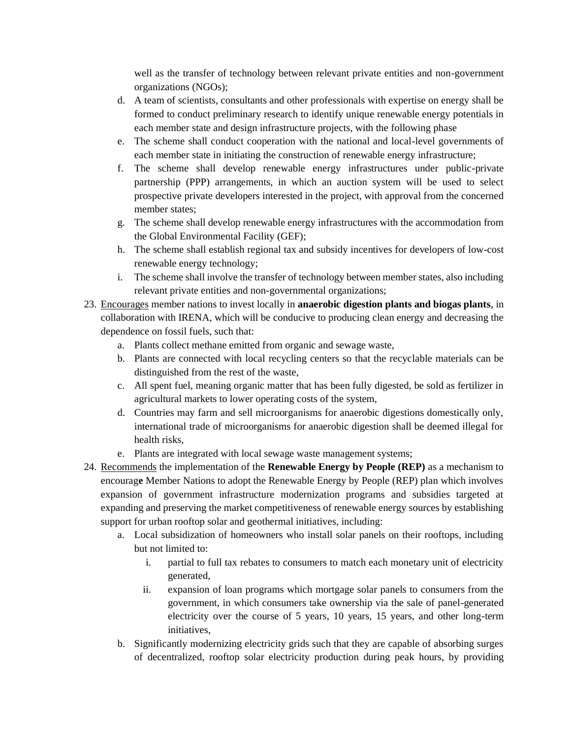well as the transfer of technology between relevant private entities and non-government organizations (NGOs);

- d. A team of scientists, consultants and other professionals with expertise on energy shall be formed to conduct preliminary research to identify unique renewable energy potentials in each member state and design infrastructure projects, with the following phase
- e. The scheme shall conduct cooperation with the national and local-level governments of each member state in initiating the construction of renewable energy infrastructure;
- f. The scheme shall develop renewable energy infrastructures under public-private partnership (PPP) arrangements, in which an auction system will be used to select prospective private developers interested in the project, with approval from the concerned member states;
- g. The scheme shall develop renewable energy infrastructures with the accommodation from the Global Environmental Facility (GEF);
- h. The scheme shall establish regional tax and subsidy incentives for developers of low-cost renewable energy technology;
- i. The scheme shall involve the transfer of technology between member states, also including relevant private entities and non-governmental organizations;
- 23. Encourages member nations to invest locally in **anaerobic digestion plants and biogas plants**, in collaboration with IRENA, which will be conducive to producing clean energy and decreasing the dependence on fossil fuels, such that:
	- a. Plants collect methane emitted from organic and sewage waste,
	- b. Plants are connected with local recycling centers so that the recyclable materials can be distinguished from the rest of the waste,
	- c. All spent fuel, meaning organic matter that has been fully digested, be sold as fertilizer in agricultural markets to lower operating costs of the system,
	- d. Countries may farm and sell microorganisms for anaerobic digestions domestically only, international trade of microorganisms for anaerobic digestion shall be deemed illegal for health risks,
	- e. Plants are integrated with local sewage waste management systems;
- 24. Recommends the implementation of the **Renewable Energy by People (REP)** as a mechanism to encourag**e** Member Nations to adopt the Renewable Energy by People (REP) plan which involves expansion of government infrastructure modernization programs and subsidies targeted at expanding and preserving the market competitiveness of renewable energy sources by establishing support for urban rooftop solar and geothermal initiatives, including:
	- a. Local subsidization of homeowners who install solar panels on their rooftops, including but not limited to:
		- i. partial to full tax rebates to consumers to match each monetary unit of electricity generated,
		- ii. expansion of loan programs which mortgage solar panels to consumers from the government, in which consumers take ownership via the sale of panel-generated electricity over the course of 5 years, 10 years, 15 years, and other long-term initiatives,
	- b. Significantly modernizing electricity grids such that they are capable of absorbing surges of decentralized, rooftop solar electricity production during peak hours, by providing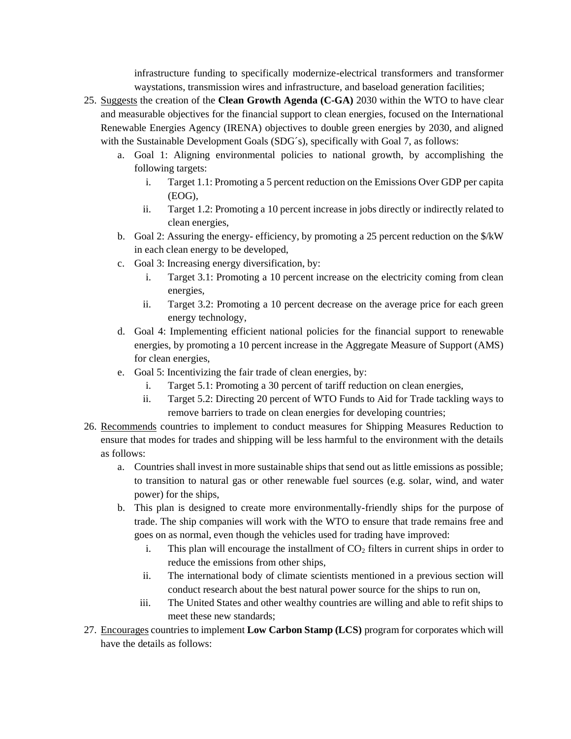infrastructure funding to specifically modernize-electrical transformers and transformer waystations, transmission wires and infrastructure, and baseload generation facilities;

- 25. Suggests the creation of the **Clean Growth Agenda (C-GA)** 2030 within the WTO to have clear and measurable objectives for the financial support to clean energies, focused on the International Renewable Energies Agency (IRENA) objectives to double green energies by 2030, and aligned with the Sustainable Development Goals (SDG's), specifically with Goal 7, as follows:
	- a. Goal 1: Aligning environmental policies to national growth, by accomplishing the following targets:
		- i. Target 1.1: Promoting a 5 percent reduction on the Emissions Over GDP per capita (EOG),
		- ii. Target 1.2: Promoting a 10 percent increase in jobs directly or indirectly related to clean energies,
	- b. Goal 2: Assuring the energy- efficiency, by promoting a 25 percent reduction on the \$/kW in each clean energy to be developed,
	- c. Goal 3: Increasing energy diversification, by:
		- i. Target 3.1: Promoting a 10 percent increase on the electricity coming from clean energies,
		- ii. Target 3.2: Promoting a 10 percent decrease on the average price for each green energy technology,
	- d. Goal 4: Implementing efficient national policies for the financial support to renewable energies, by promoting a 10 percent increase in the Aggregate Measure of Support (AMS) for clean energies,
	- e. Goal 5: Incentivizing the fair trade of clean energies, by:
		- i. Target 5.1: Promoting a 30 percent of tariff reduction on clean energies,
		- ii. Target 5.2: Directing 20 percent of WTO Funds to Aid for Trade tackling ways to remove barriers to trade on clean energies for developing countries;
- 26. Recommends countries to implement to conduct measures for Shipping Measures Reduction to ensure that modes for trades and shipping will be less harmful to the environment with the details as follows:
	- a. Countries shall invest in more sustainable ships that send out as little emissions as possible; to transition to natural gas or other renewable fuel sources (e.g. solar, wind, and water power) for the ships,
	- b. This plan is designed to create more environmentally-friendly ships for the purpose of trade. The ship companies will work with the WTO to ensure that trade remains free and goes on as normal, even though the vehicles used for trading have improved:
		- i. This plan will encourage the installment of  $CO<sub>2</sub>$  filters in current ships in order to reduce the emissions from other ships,
		- ii. The international body of climate scientists mentioned in a previous section will conduct research about the best natural power source for the ships to run on,
		- iii. The United States and other wealthy countries are willing and able to refit ships to meet these new standards;
- 27. Encourages countries to implement **Low Carbon Stamp (LCS)** program for corporates which will have the details as follows: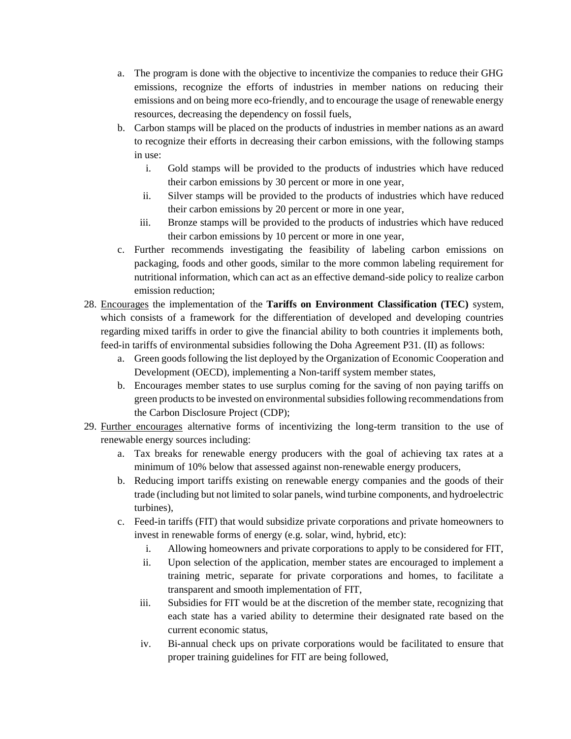- a. The program is done with the objective to incentivize the companies to reduce their GHG emissions, recognize the efforts of industries in member nations on reducing their emissions and on being more eco-friendly, and to encourage the usage of renewable energy resources, decreasing the dependency on fossil fuels,
- b. Carbon stamps will be placed on the products of industries in member nations as an award to recognize their efforts in decreasing their carbon emissions, with the following stamps in use:
	- i. Gold stamps will be provided to the products of industries which have reduced their carbon emissions by 30 percent or more in one year,
	- ii. Silver stamps will be provided to the products of industries which have reduced their carbon emissions by 20 percent or more in one year,
	- iii. Bronze stamps will be provided to the products of industries which have reduced their carbon emissions by 10 percent or more in one year,
- c. Further recommends investigating the feasibility of labeling carbon emissions on packaging, foods and other goods, similar to the more common labeling requirement for nutritional information, which can act as an effective demand-side policy to realize carbon emission reduction;
- 28. Encourages the implementation of the **Tariffs on Environment Classification (TEC)** system, which consists of a framework for the differentiation of developed and developing countries regarding mixed tariffs in order to give the financial ability to both countries it implements both, feed-in tariffs of environmental subsidies following the Doha Agreement P31. (II) as follows:
	- a. Green goods following the list deployed by the Organization of Economic Cooperation and Development (OECD), implementing a Non-tariff system member states,
	- b. Encourages member states to use surplus coming for the saving of non paying tariffs on green products to be invested on environmental subsidies following recommendations from the Carbon Disclosure Project (CDP);
- 29. Further encourages alternative forms of incentivizing the long-term transition to the use of renewable energy sources including:
	- a. Tax breaks for renewable energy producers with the goal of achieving tax rates at a minimum of 10% below that assessed against non-renewable energy producers,
	- b. Reducing import tariffs existing on renewable energy companies and the goods of their trade (including but not limited to solar panels, wind turbine components, and hydroelectric turbines),
	- c. Feed-in tariffs (FIT) that would subsidize private corporations and private homeowners to invest in renewable forms of energy (e.g. solar, wind, hybrid, etc):
		- i. Allowing homeowners and private corporations to apply to be considered for FIT,
		- ii. Upon selection of the application, member states are encouraged to implement a training metric, separate for private corporations and homes, to facilitate a transparent and smooth implementation of FIT,
		- iii. Subsidies for FIT would be at the discretion of the member state, recognizing that each state has a varied ability to determine their designated rate based on the current economic status,
		- iv. Bi-annual check ups on private corporations would be facilitated to ensure that proper training guidelines for FIT are being followed,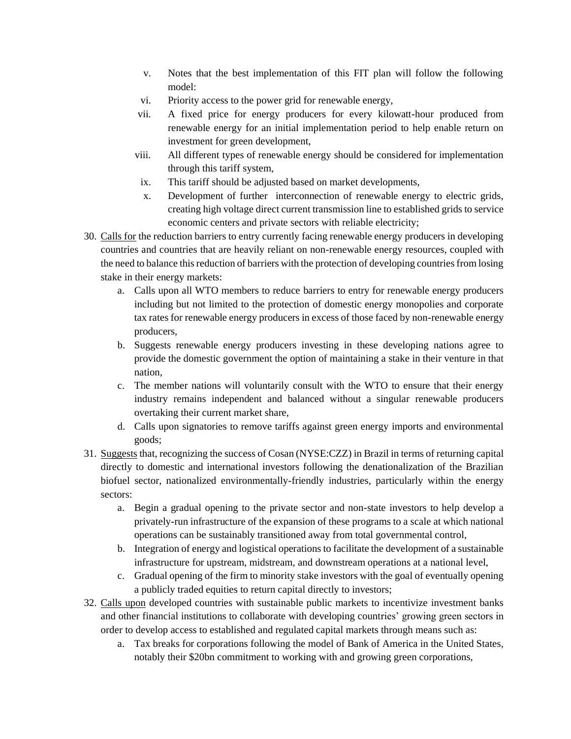- v. Notes that the best implementation of this FIT plan will follow the following model:
- vi. Priority access to the power grid for renewable energy,
- vii. A fixed price for energy producers for every kilowatt-hour produced from renewable energy for an initial implementation period to help enable return on investment for green development,
- viii. All different types of renewable energy should be considered for implementation through this tariff system,
- ix. This tariff should be adjusted based on market developments,
- x. Development of further interconnection of renewable energy to electric grids, creating high voltage direct current transmission line to established grids to service economic centers and private sectors with reliable electricity;
- 30. Calls for the reduction barriers to entry currently facing renewable energy producers in developing countries and countries that are heavily reliant on non-renewable energy resources, coupled with the need to balance this reduction of barriers with the protection of developing countries from losing stake in their energy markets:
	- a. Calls upon all WTO members to reduce barriers to entry for renewable energy producers including but not limited to the protection of domestic energy monopolies and corporate tax rates for renewable energy producers in excess of those faced by non-renewable energy producers,
	- b. Suggests renewable energy producers investing in these developing nations agree to provide the domestic government the option of maintaining a stake in their venture in that nation,
	- c. The member nations will voluntarily consult with the WTO to ensure that their energy industry remains independent and balanced without a singular renewable producers overtaking their current market share,
	- d. Calls upon signatories to remove tariffs against green energy imports and environmental goods;
- 31. Suggests that, recognizing the success of Cosan (NYSE:CZZ) in Brazil in terms of returning capital directly to domestic and international investors following the denationalization of the Brazilian biofuel sector, nationalized environmentally-friendly industries, particularly within the energy sectors:
	- a. Begin a gradual opening to the private sector and non-state investors to help develop a privately-run infrastructure of the expansion of these programs to a scale at which national operations can be sustainably transitioned away from total governmental control,
	- b. Integration of energy and logistical operations to facilitate the development of a sustainable infrastructure for upstream, midstream, and downstream operations at a national level,
	- c. Gradual opening of the firm to minority stake investors with the goal of eventually opening a publicly traded equities to return capital directly to investors;
- 32. Calls upon developed countries with sustainable public markets to incentivize investment banks and other financial institutions to collaborate with developing countries' growing green sectors in order to develop access to established and regulated capital markets through means such as:
	- a. Tax breaks for corporations following the model of Bank of America in the United States, notably their \$20bn commitment to working with and growing green corporations,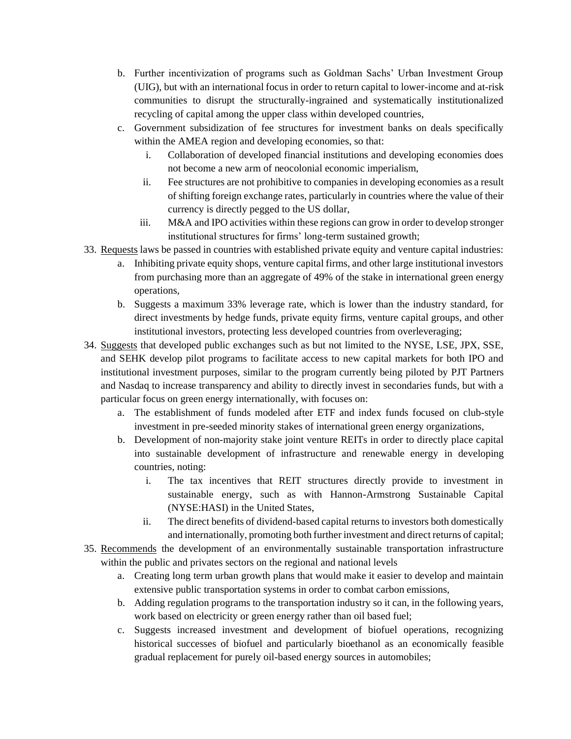- b. Further incentivization of programs such as Goldman Sachs' Urban Investment Group (UIG), but with an international focus in order to return capital to lower-income and at-risk communities to disrupt the structurally-ingrained and systematically institutionalized recycling of capital among the upper class within developed countries,
- c. Government subsidization of fee structures for investment banks on deals specifically within the AMEA region and developing economies, so that:
	- i. Collaboration of developed financial institutions and developing economies does not become a new arm of neocolonial economic imperialism,
	- ii. Fee structures are not prohibitive to companies in developing economies as a result of shifting foreign exchange rates, particularly in countries where the value of their currency is directly pegged to the US dollar,
	- iii. M&A and IPO activities within these regions can grow in order to develop stronger institutional structures for firms' long-term sustained growth;
- 33. Requests laws be passed in countries with established private equity and venture capital industries:
	- a. Inhibiting private equity shops, venture capital firms, and other large institutional investors from purchasing more than an aggregate of 49% of the stake in international green energy operations,
	- b. Suggests a maximum 33% leverage rate, which is lower than the industry standard, for direct investments by hedge funds, private equity firms, venture capital groups, and other institutional investors, protecting less developed countries from overleveraging;
- 34. Suggests that developed public exchanges such as but not limited to the NYSE, LSE, JPX, SSE, and SEHK develop pilot programs to facilitate access to new capital markets for both IPO and institutional investment purposes, similar to the program currently being piloted by PJT Partners and Nasdaq to increase transparency and ability to directly invest in secondaries funds, but with a particular focus on green energy internationally, with focuses on:
	- a. The establishment of funds modeled after ETF and index funds focused on club-style investment in pre-seeded minority stakes of international green energy organizations,
	- b. Development of non-majority stake joint venture REITs in order to directly place capital into sustainable development of infrastructure and renewable energy in developing countries, noting:
		- i. The tax incentives that REIT structures directly provide to investment in sustainable energy, such as with Hannon-Armstrong Sustainable Capital (NYSE:HASI) in the United States,
		- ii. The direct benefits of dividend-based capital returns to investors both domestically and internationally, promoting both further investment and direct returns of capital;
- 35. Recommends the development of an environmentally sustainable transportation infrastructure within the public and privates sectors on the regional and national levels
	- a. Creating long term urban growth plans that would make it easier to develop and maintain extensive public transportation systems in order to combat carbon emissions,
	- b. Adding regulation programs to the transportation industry so it can, in the following years, work based on electricity or green energy rather than oil based fuel;
	- c. Suggests increased investment and development of biofuel operations, recognizing historical successes of biofuel and particularly bioethanol as an economically feasible gradual replacement for purely oil-based energy sources in automobiles;